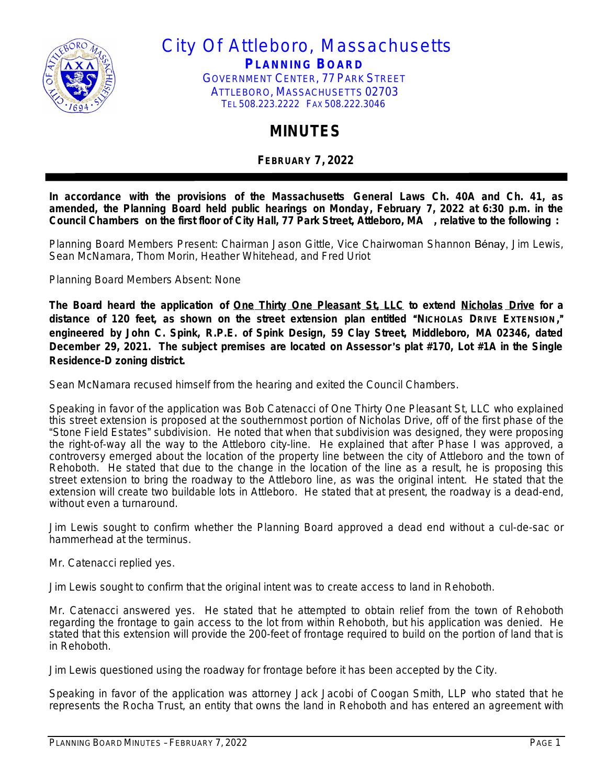

City Of Attleboro, Massachusetts **PLANNING BOARD** GOVERNMENT CENTER, 77 PARK STREET ATTLEBORO, MASSACHUSETTS 02703 TEL 508.223.2222 FAX 508.222.3046

## **MINUTES**

**FEBRUARY 7, 2022**

**In accordance with the provisions of the Massachusetts General Laws Ch. 40A and Ch. 41, as amended, the Planning Board held public hearings on Monday, February 7, 2022 at 6:30 p.m. in the Council Chambers on the first floor of City Hall, 77 Park Street, Attleboro, MA , relative to the following :**

Planning Board Members Present: Chairman Jason Gittle, Vice Chairwoman Shannon Bénay, Jim Lewis, Sean McNamara, Thom Morin, Heather Whitehead, and Fred Uriot

Planning Board Members Absent: None

**The Board heard the application of One Thirty One Pleasant St, LLC to extend Nicholas Drive for a** distance of 120 feet, as shown on the street extension plan entitled "NICHOLAS DRIVE EXTENSION," **engineered by John C. Spink, R.P.E. of Spink Design, 59 Clay Street, Middleboro, MA 02346, dated December 29, 2021. The subject premises are located on Assessor**'**s plat #170, Lot #1A in the Single Residence-D zoning district.**

Sean McNamara recused himself from the hearing and exited the Council Chambers.

Speaking in favor of the application was Bob Catenacci of One Thirty One Pleasant St, LLC who explained this street extension is proposed at the southernmost portion of Nicholas Drive, off of the first phase of the "Stone Field Estates" subdivision. He noted that when that subdivision was designed, they were proposing the right-of-way all the way to the Attleboro city-line. He explained that after Phase I was approved, a controversy emerged about the location of the property line between the city of Attleboro and the town of Rehoboth. He stated that due to the change in the location of the line as a result, he is proposing this street extension to bring the roadway to the Attleboro line, as was the original intent. He stated that the extension will create two buildable lots in Attleboro. He stated that at present, the roadway is a dead-end, without even a turnaround.

Jim Lewis sought to confirm whether the Planning Board approved a dead end without a cul-de-sac or hammerhead at the terminus.

Mr. Catenacci replied yes.

Jim Lewis sought to confirm that the original intent was to create access to land in Rehoboth.

Mr. Catenacci answered yes. He stated that he attempted to obtain relief from the town of Rehoboth regarding the frontage to gain access to the lot from within Rehoboth, but his application was denied. He stated that this extension will provide the 200-feet of frontage required to build on the portion of land that is in Rehoboth.

Jim Lewis questioned using the roadway for frontage before it has been accepted by the City.

Speaking in favor of the application was attorney Jack Jacobi of Coogan Smith, LLP who stated that he represents the Rocha Trust, an entity that owns the land in Rehoboth and has entered an agreement with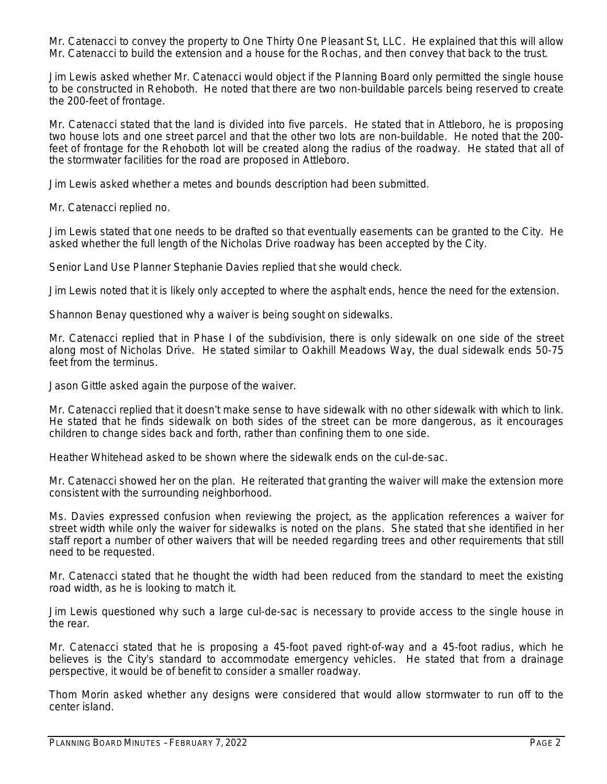Mr. Catenacci to convey the property to One Thirty One Pleasant St, LLC. He explained that this will allow Mr. Catenacci to build the extension and a house for the Rochas, and then convey that back to the trust.

Jim Lewis asked whether Mr. Catenacci would object if the Planning Board only permitted the single house to be constructed in Rehoboth. He noted that there are two non-buildable parcels being reserved to create the 200-feet of frontage.

Mr. Catenacci stated that the land is divided into five parcels. He stated that in Attleboro, he is proposing two house lots and one street parcel and that the other two lots are non-buildable. He noted that the 200 feet of frontage for the Rehoboth lot will be created along the radius of the roadway. He stated that all of the stormwater facilities for the road are proposed in Attleboro.

Jim Lewis asked whether a metes and bounds description had been submitted.

Mr. Catenacci replied no.

Jim Lewis stated that one needs to be drafted so that eventually easements can be granted to the City. He asked whether the full length of the Nicholas Drive roadway has been accepted by the City.

Senior Land Use Planner Stephanie Davies replied that she would check.

Jim Lewis noted that it is likely only accepted to where the asphalt ends, hence the need for the extension.

Shannon Benay questioned why a waiver is being sought on sidewalks.

Mr. Catenacci replied that in Phase I of the subdivision, there is only sidewalk on one side of the street along most of Nicholas Drive. He stated similar to Oakhill Meadows Way, the dual sidewalk ends 50-75 feet from the terminus.

Jason Gittle asked again the purpose of the waiver.

Mr. Catenacci replied that it doesn't make sense to have sidewalk with no other sidewalk with which to link. He stated that he finds sidewalk on both sides of the street can be more dangerous, as it encourages children to change sides back and forth, rather than confining them to one side.

Heather Whitehead asked to be shown where the sidewalk ends on the cul-de-sac.

Mr. Catenacci showed her on the plan. He reiterated that granting the waiver will make the extension more consistent with the surrounding neighborhood.

Ms. Davies expressed confusion when reviewing the project, as the application references a waiver for street width while only the waiver for sidewalks is noted on the plans. She stated that she identified in her staff report a number of other waivers that will be needed regarding trees and other requirements that still need to be requested.

Mr. Catenacci stated that he thought the width had been reduced from the standard to meet the existing road width, as he is looking to match it.

Jim Lewis questioned why such a large cul-de-sac is necessary to provide access to the single house in the rear.

Mr. Catenacci stated that he is proposing a 45-foot paved right-of-way and a 45-foot radius, which he believes is the City's standard to accommodate emergency vehicles. He stated that from a drainage perspective, it would be of benefit to consider a smaller roadway.

Thom Morin asked whether any designs were considered that would allow stormwater to run off to the center island.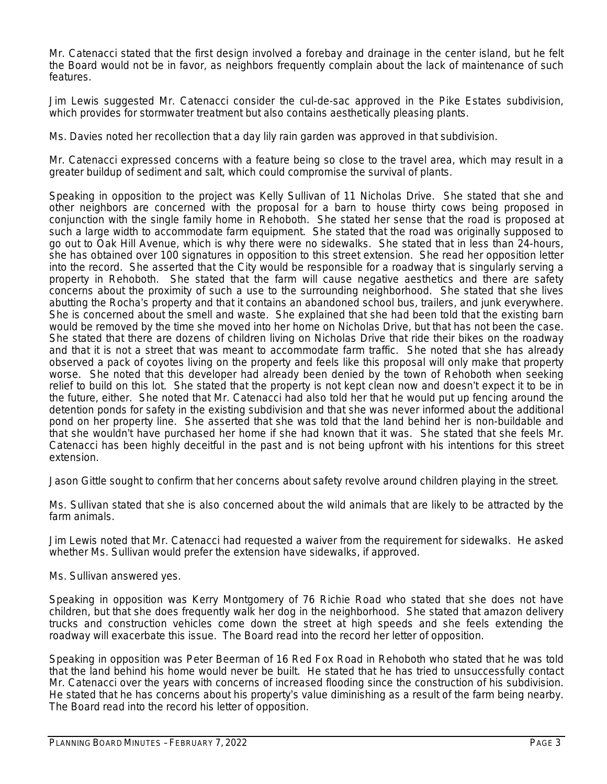Mr. Catenacci stated that the first design involved a forebay and drainage in the center island, but he felt the Board would not be in favor, as neighbors frequently complain about the lack of maintenance of such features.

Jim Lewis suggested Mr. Catenacci consider the cul-de-sac approved in the Pike Estates subdivision, which provides for stormwater treatment but also contains aesthetically pleasing plants.

Ms. Davies noted her recollection that a day lily rain garden was approved in that subdivision.

Mr. Catenacci expressed concerns with a feature being so close to the travel area, which may result in a greater buildup of sediment and salt, which could compromise the survival of plants.

Speaking in opposition to the project was Kelly Sullivan of 11 Nicholas Drive. She stated that she and other neighbors are concerned with the proposal for a barn to house thirty cows being proposed in conjunction with the single family home in Rehoboth. She stated her sense that the road is proposed at such a large width to accommodate farm equipment. She stated that the road was originally supposed to go out to Oak Hill Avenue, which is why there were no sidewalks. She stated that in less than 24-hours, she has obtained over 100 signatures in opposition to this street extension. She read her opposition letter into the record. She asserted that the City would be responsible for a roadway that is singularly serving a property in Rehoboth. She stated that the farm will cause negative aesthetics and there are safety concerns about the proximity of such a use to the surrounding neighborhood. She stated that she lives abutting the Rocha's property and that it contains an abandoned school bus, trailers, and junk everywhere. She is concerned about the smell and waste. She explained that she had been told that the existing barn would be removed by the time she moved into her home on Nicholas Drive, but that has not been the case. She stated that there are dozens of children living on Nicholas Drive that ride their bikes on the roadway and that it is not a street that was meant to accommodate farm traffic. She noted that she has already observed a pack of coyotes living on the property and feels like this proposal will only make that property worse. She noted that this developer had already been denied by the town of Rehoboth when seeking relief to build on this lot. She stated that the property is not kept clean now and doesn't expect it to be in the future, either. She noted that Mr. Catenacci had also told her that he would put up fencing around the detention ponds for safety in the existing subdivision and that she was never informed about the additional pond on her property line. She asserted that she was told that the land behind her is non-buildable and that she wouldn't have purchased her home if she had known that it was. She stated that she feels Mr. Catenacci has been highly deceitful in the past and is not being upfront with his intentions for this street extension.

Jason Gittle sought to confirm that her concerns about safety revolve around children playing in the street.

Ms. Sullivan stated that she is also concerned about the wild animals that are likely to be attracted by the farm animals.

Jim Lewis noted that Mr. Catenacci had requested a waiver from the requirement for sidewalks. He asked whether Ms. Sullivan would prefer the extension have sidewalks, if approved.

Ms. Sullivan answered yes.

Speaking in opposition was Kerry Montgomery of 76 Richie Road who stated that she does not have children, but that she does frequently walk her dog in the neighborhood. She stated that amazon delivery trucks and construction vehicles come down the street at high speeds and she feels extending the roadway will exacerbate this issue. The Board read into the record her letter of opposition.

Speaking in opposition was Peter Beerman of 16 Red Fox Road in Rehoboth who stated that he was told that the land behind his home would never be built. He stated that he has tried to unsuccessfully contact Mr. Catenacci over the years with concerns of increased flooding since the construction of his subdivision. He stated that he has concerns about his property's value diminishing as a result of the farm being nearby. The Board read into the record his letter of opposition.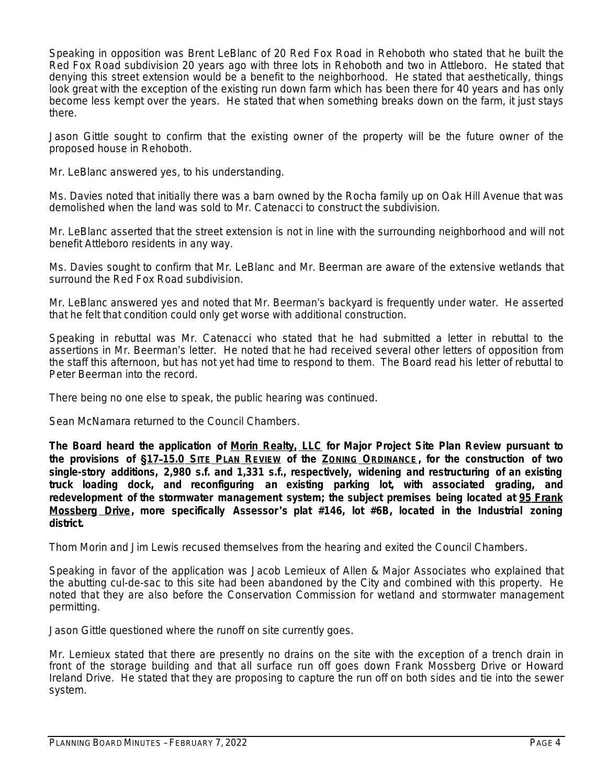Speaking in opposition was Brent LeBlanc of 20 Red Fox Road in Rehoboth who stated that he built the Red Fox Road subdivision 20 years ago with three lots in Rehoboth and two in Attleboro. He stated that denying this street extension would be a benefit to the neighborhood. He stated that aesthetically, things look great with the exception of the existing run down farm which has been there for 40 years and has only become less kempt over the years. He stated that when something breaks down on the farm, it just stays there.

Jason Gittle sought to confirm that the existing owner of the property will be the future owner of the proposed house in Rehoboth.

Mr. LeBlanc answered yes, to his understanding.

Ms. Davies noted that initially there was a barn owned by the Rocha family up on Oak Hill Avenue that was demolished when the land was sold to Mr. Catenacci to construct the subdivision.

Mr. LeBlanc asserted that the street extension is not in line with the surrounding neighborhood and will not benefit Attleboro residents in any way.

Ms. Davies sought to confirm that Mr. LeBlanc and Mr. Beerman are aware of the extensive wetlands that surround the Red Fox Road subdivision.

Mr. LeBlanc answered yes and noted that Mr. Beerman's backyard is frequently under water. He asserted that he felt that condition could only get worse with additional construction.

Speaking in rebuttal was Mr. Catenacci who stated that he had submitted a letter in rebuttal to the assertions in Mr. Beerman's letter. He noted that he had received several other letters of opposition from the staff this afternoon, but has not yet had time to respond to them. The Board read his letter of rebuttal to Peter Beerman into the record.

There being no one else to speak, the public hearing was continued.

Sean McNamara returned to the Council Chambers.

**The Board heard the application of Morin Realty, LLC for Major Project Site Plan Review pursuant to** the provisions of §17-15.0 SITE PLAN REVIEW of the ZONING ORDINANCE, for the construction of two **single-story additions, 2,980 s.f. and 1,331 s.f., respectively, widening and restructuring of an existing truck loading dock, and reconfiguring an existing parking lot, with associated grading, and redevelopment of the stormwater management system; the subject premises being located at 95 Frank Mossberg Drive, more specifically Assessor**'**s plat #146, lot #6B, located in the Industrial zoning district.**

Thom Morin and Jim Lewis recused themselves from the hearing and exited the Council Chambers.

Speaking in favor of the application was Jacob Lemieux of Allen & Major Associates who explained that the abutting cul-de-sac to this site had been abandoned by the City and combined with this property. He noted that they are also before the Conservation Commission for wetland and stormwater management permitting.

Jason Gittle questioned where the runoff on site currently goes.

Mr. Lemieux stated that there are presently no drains on the site with the exception of a trench drain in front of the storage building and that all surface run off goes down Frank Mossberg Drive or Howard Ireland Drive. He stated that they are proposing to capture the run off on both sides and tie into the sewer system.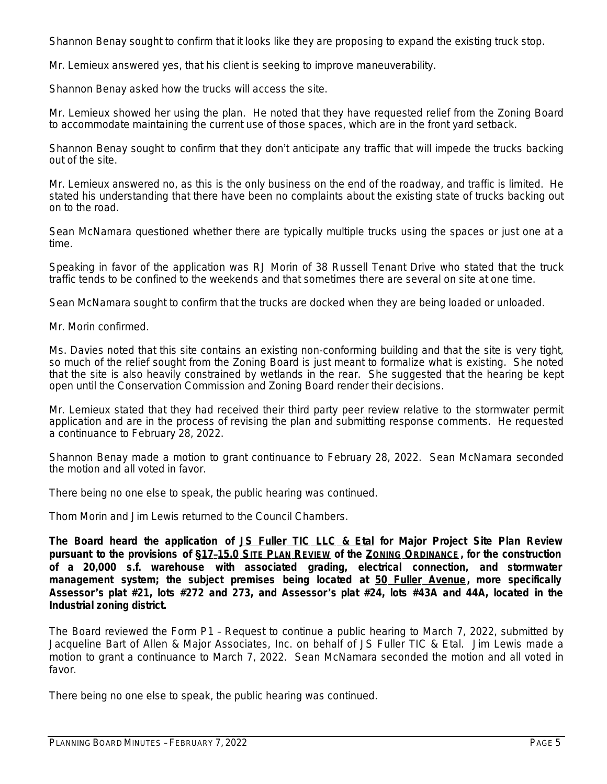Shannon Benay sought to confirm that it looks like they are proposing to expand the existing truck stop.

Mr. Lemieux answered yes, that his client is seeking to improve maneuverability.

Shannon Benay asked how the trucks will access the site.

Mr. Lemieux showed her using the plan. He noted that they have requested relief from the Zoning Board to accommodate maintaining the current use of those spaces, which are in the front yard setback.

Shannon Benay sought to confirm that they don't anticipate any traffic that will impede the trucks backing out of the site.

Mr. Lemieux answered no, as this is the only business on the end of the roadway, and traffic is limited. He stated his understanding that there have been no complaints about the existing state of trucks backing out on to the road.

Sean McNamara questioned whether there are typically multiple trucks using the spaces or just one at a time.

Speaking in favor of the application was RJ Morin of 38 Russell Tenant Drive who stated that the truck traffic tends to be confined to the weekends and that sometimes there are several on site at one time.

Sean McNamara sought to confirm that the trucks are docked when they are being loaded or unloaded.

Mr. Morin confirmed.

Ms. Davies noted that this site contains an existing non-conforming building and that the site is very tight, so much of the relief sought from the Zoning Board is just meant to formalize what is existing. She noted that the site is also heavily constrained by wetlands in the rear. She suggested that the hearing be kept open until the Conservation Commission and Zoning Board render their decisions.

Mr. Lemieux stated that they had received their third party peer review relative to the stormwater permit application and are in the process of revising the plan and submitting response comments. He requested a continuance to February 28, 2022.

Shannon Benay made a motion to grant continuance to February 28, 2022. Sean McNamara seconded the motion and all voted in favor.

There being no one else to speak, the public hearing was continued.

Thom Morin and Jim Lewis returned to the Council Chambers.

**The Board heard the application of JS Fuller TIC LLC & Etal for Major Project Site Plan Review** pursuant to the provisions of §17-15.0 SITE PLAN REVIEW of the ZONING ORDINANCE, for the construction **of a 20,000 s.f. warehouse with associated grading, electrical connection, and stormwater management system; the subject premises being located at 50 Fuller Avenue, more specifically** Assessor's plat #21, lots #272 and 273, and Assessor's plat #24, lots #43A and 44A, located in the **Industrial zoning district.**

The Board reviewed the Form P1 – Request to continue a public hearing to March 7, 2022, submitted by Jacqueline Bart of Allen & Major Associates, Inc. on behalf of JS Fuller TIC & Etal. Jim Lewis made a motion to grant a continuance to March 7, 2022. Sean McNamara seconded the motion and all voted in favor.

There being no one else to speak, the public hearing was continued.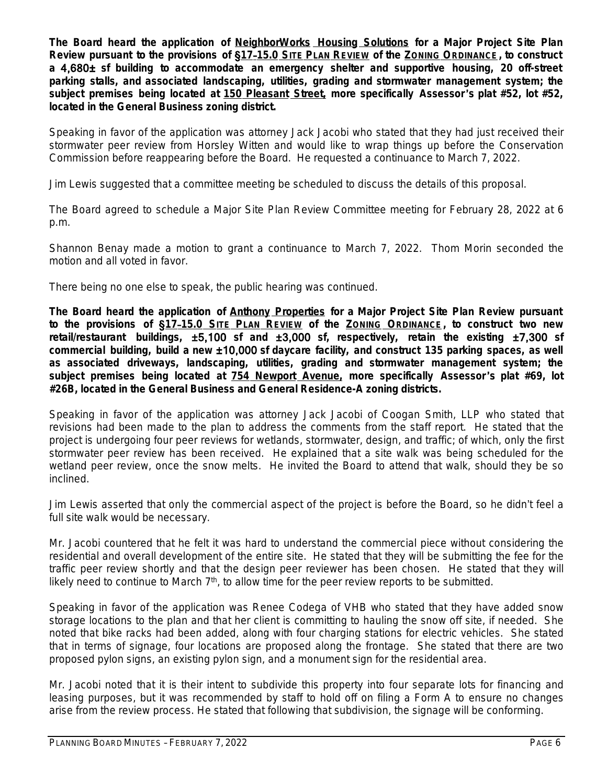**The Board heard the application of NeighborWorks Housing Solutions for a Major Project Site Plan** Review pursuant to the provisions of §17-15.0 SITE PLAN REVIEW of the ZONING ORDINANCE, to construct **a** 4,680± **sf building to accommodate an emergency shelter and supportive housing, 20 off-street parking stalls, and associated landscaping, utilities, grading and stormwater management system; the subject premises being located at 150 Pleasant Street, more specifically Assessor**'**s plat #52, lot #52, located in the General Business zoning district.**

Speaking in favor of the application was attorney Jack Jacobi who stated that they had just received their stormwater peer review from Horsley Witten and would like to wrap things up before the Conservation Commission before reappearing before the Board. He requested a continuance to March 7, 2022.

Jim Lewis suggested that a committee meeting be scheduled to discuss the details of this proposal.

The Board agreed to schedule a Major Site Plan Review Committee meeting for February 28, 2022 at 6 p.m.

Shannon Benay made a motion to grant a continuance to March 7, 2022. Thom Morin seconded the motion and all voted in favor.

There being no one else to speak, the public hearing was continued.

**The Board heard the application of Anthony Properties for a Major Project Site Plan Review pursuant** to the provisions of §17-15.0 SITE PLAN REVIEW of the ZONING ORDINANCE, to construct two new **retail/restaurant buildings,** ±5,100 **sf and** ±3,000 **sf, respectively, retain the existing** ±7,300 **sf commercial building, build a new** ±10,000 **sf daycare facility, and construct 135 parking spaces, as well as associated driveways, landscaping, utilities, grading and stormwater management system; the subject premises being located at 754 Newport Avenue, more specifically Assessor**'**s plat #69, lot #26B, located in the General Business and General Residence-A zoning districts.**

Speaking in favor of the application was attorney Jack Jacobi of Coogan Smith, LLP who stated that revisions had been made to the plan to address the comments from the staff report. He stated that the project is undergoing four peer reviews for wetlands, stormwater, design, and traffic; of which, only the first stormwater peer review has been received. He explained that a site walk was being scheduled for the wetland peer review, once the snow melts. He invited the Board to attend that walk, should they be so inclined.

Jim Lewis asserted that only the commercial aspect of the project is before the Board, so he didn't feel a full site walk would be necessary.

Mr. Jacobi countered that he felt it was hard to understand the commercial piece without considering the residential and overall development of the entire site. He stated that they will be submitting the fee for the traffic peer review shortly and that the design peer reviewer has been chosen. He stated that they will likely need to continue to March 7th, to allow time for the peer review reports to be submitted.

Speaking in favor of the application was Renee Codega of VHB who stated that they have added snow storage locations to the plan and that her client is committing to hauling the snow off site, if needed. She noted that bike racks had been added, along with four charging stations for electric vehicles. She stated that in terms of signage, four locations are proposed along the frontage. She stated that there are two proposed pylon signs, an existing pylon sign, and a monument sign for the residential area.

Mr. Jacobi noted that it is their intent to subdivide this property into four separate lots for financing and leasing purposes, but it was recommended by staff to hold off on filing a Form A to ensure no changes arise from the review process. He stated that following that subdivision, the signage will be conforming.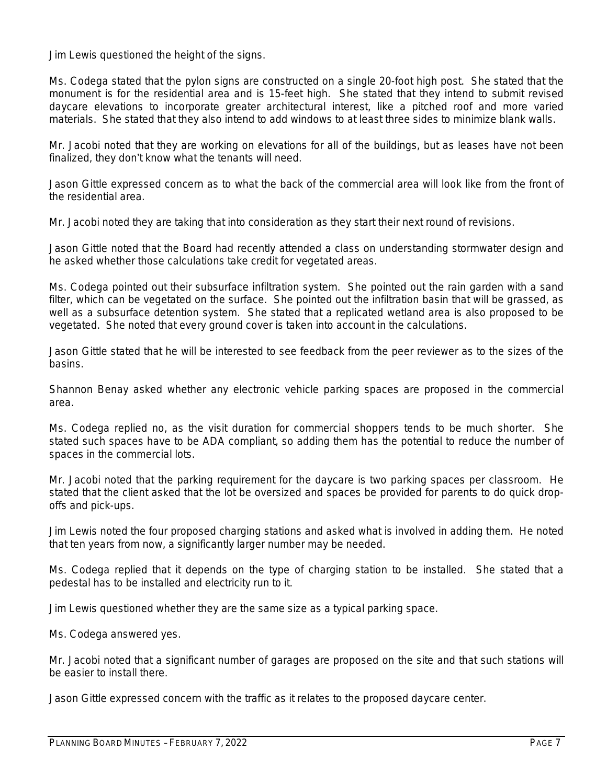Jim Lewis questioned the height of the signs.

Ms. Codega stated that the pylon signs are constructed on a single 20-foot high post. She stated that the monument is for the residential area and is 15-feet high. She stated that they intend to submit revised daycare elevations to incorporate greater architectural interest, like a pitched roof and more varied materials. She stated that they also intend to add windows to at least three sides to minimize blank walls.

Mr. Jacobi noted that they are working on elevations for all of the buildings, but as leases have not been finalized, they don't know what the tenants will need.

Jason Gittle expressed concern as to what the back of the commercial area will look like from the front of the residential area.

Mr. Jacobi noted they are taking that into consideration as they start their next round of revisions.

Jason Gittle noted that the Board had recently attended a class on understanding stormwater design and he asked whether those calculations take credit for vegetated areas.

Ms. Codega pointed out their subsurface infiltration system. She pointed out the rain garden with a sand filter, which can be vegetated on the surface. She pointed out the infiltration basin that will be grassed, as well as a subsurface detention system. She stated that a replicated wetland area is also proposed to be vegetated. She noted that every ground cover is taken into account in the calculations.

Jason Gittle stated that he will be interested to see feedback from the peer reviewer as to the sizes of the basins.

Shannon Benay asked whether any electronic vehicle parking spaces are proposed in the commercial area.

Ms. Codega replied no, as the visit duration for commercial shoppers tends to be much shorter. She stated such spaces have to be ADA compliant, so adding them has the potential to reduce the number of spaces in the commercial lots.

Mr. Jacobi noted that the parking requirement for the daycare is two parking spaces per classroom. He stated that the client asked that the lot be oversized and spaces be provided for parents to do quick dropoffs and pick-ups.

Jim Lewis noted the four proposed charging stations and asked what is involved in adding them. He noted that ten years from now, a significantly larger number may be needed.

Ms. Codega replied that it depends on the type of charging station to be installed. She stated that a pedestal has to be installed and electricity run to it.

Jim Lewis questioned whether they are the same size as a typical parking space.

Ms. Codega answered yes.

Mr. Jacobi noted that a significant number of garages are proposed on the site and that such stations will be easier to install there.

Jason Gittle expressed concern with the traffic as it relates to the proposed daycare center.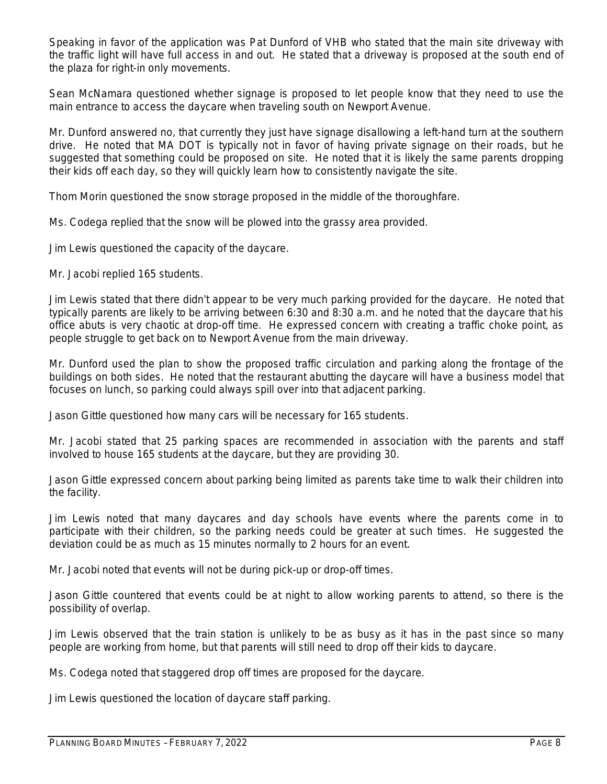Speaking in favor of the application was Pat Dunford of VHB who stated that the main site driveway with the traffic light will have full access in and out. He stated that a driveway is proposed at the south end of the plaza for right-in only movements.

Sean McNamara questioned whether signage is proposed to let people know that they need to use the main entrance to access the daycare when traveling south on Newport Avenue.

Mr. Dunford answered no, that currently they just have signage disallowing a left-hand turn at the southern drive. He noted that MA DOT is typically not in favor of having private signage on their roads, but he suggested that something could be proposed on site. He noted that it is likely the same parents dropping their kids off each day, so they will quickly learn how to consistently navigate the site.

Thom Morin questioned the snow storage proposed in the middle of the thoroughfare.

Ms. Codega replied that the snow will be plowed into the grassy area provided.

Jim Lewis questioned the capacity of the daycare.

Mr. Jacobi replied 165 students.

Jim Lewis stated that there didn't appear to be very much parking provided for the daycare. He noted that typically parents are likely to be arriving between 6:30 and 8:30 a.m. and he noted that the daycare that his office abuts is very chaotic at drop-off time. He expressed concern with creating a traffic choke point, as people struggle to get back on to Newport Avenue from the main driveway.

Mr. Dunford used the plan to show the proposed traffic circulation and parking along the frontage of the buildings on both sides. He noted that the restaurant abutting the daycare will have a business model that focuses on lunch, so parking could always spill over into that adjacent parking.

Jason Gittle questioned how many cars will be necessary for 165 students.

Mr. Jacobi stated that 25 parking spaces are recommended in association with the parents and staff involved to house 165 students at the daycare, but they are providing 30.

Jason Gittle expressed concern about parking being limited as parents take time to walk their children into the facility.

Jim Lewis noted that many daycares and day schools have events where the parents come in to participate with their children, so the parking needs could be greater at such times. He suggested the deviation could be as much as 15 minutes normally to 2 hours for an event.

Mr. Jacobi noted that events will not be during pick-up or drop-off times.

Jason Gittle countered that events could be at night to allow working parents to attend, so there is the possibility of overlap.

Jim Lewis observed that the train station is unlikely to be as busy as it has in the past since so many people are working from home, but that parents will still need to drop off their kids to daycare.

Ms. Codega noted that staggered drop off times are proposed for the daycare.

Jim Lewis questioned the location of daycare staff parking.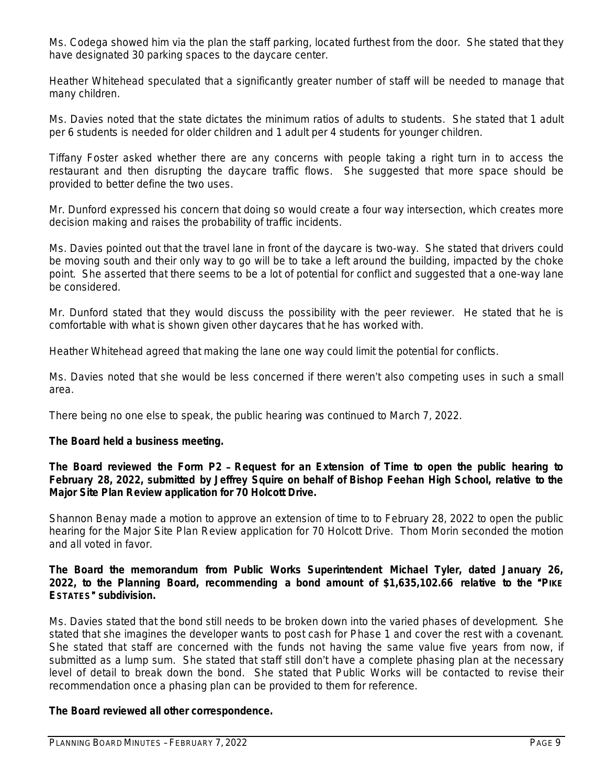Ms. Codega showed him via the plan the staff parking, located furthest from the door. She stated that they have designated 30 parking spaces to the daycare center.

Heather Whitehead speculated that a significantly greater number of staff will be needed to manage that many children.

Ms. Davies noted that the state dictates the minimum ratios of adults to students. She stated that 1 adult per 6 students is needed for older children and 1 adult per 4 students for younger children.

Tiffany Foster asked whether there are any concerns with people taking a right turn in to access the restaurant and then disrupting the daycare traffic flows. She suggested that more space should be provided to better define the two uses.

Mr. Dunford expressed his concern that doing so would create a four way intersection, which creates more decision making and raises the probability of traffic incidents.

Ms. Davies pointed out that the travel lane in front of the daycare is two-way. She stated that drivers could be moving south and their only way to go will be to take a left around the building, impacted by the choke point. She asserted that there seems to be a lot of potential for conflict and suggested that a one-way lane be considered.

Mr. Dunford stated that they would discuss the possibility with the peer reviewer. He stated that he is comfortable with what is shown given other daycares that he has worked with.

Heather Whitehead agreed that making the lane one way could limit the potential for conflicts.

Ms. Davies noted that she would be less concerned if there weren't also competing uses in such a small area.

There being no one else to speak, the public hearing was continued to March 7, 2022.

## **The Board held a business meeting.**

**The Board reviewed the Form P2** – **Request for an Extension of Time to open the public hearing to February 28, 2022, submitted by Jeffrey Squire on behalf of Bishop Feehan High School, relative to the Major Site Plan Review application for 70 Holcott Drive.**

Shannon Benay made a motion to approve an extension of time to to February 28, 2022 to open the public hearing for the Major Site Plan Review application for 70 Holcott Drive. Thom Morin seconded the motion and all voted in favor.

## **The Board the memorandum from Public Works Superintendent Michael Tyler, dated January 26, 2022, to the Planning Board, recommending a bond amount of \$1,635,102.66 relative to the** "**PIKE ESTATES**" **subdivision.**

Ms. Davies stated that the bond still needs to be broken down into the varied phases of development. She stated that she imagines the developer wants to post cash for Phase 1 and cover the rest with a covenant. She stated that staff are concerned with the funds not having the same value five years from now, if submitted as a lump sum. She stated that staff still don't have a complete phasing plan at the necessary level of detail to break down the bond. She stated that Public Works will be contacted to revise their recommendation once a phasing plan can be provided to them for reference.

## **The Board reviewed all other correspondence.**